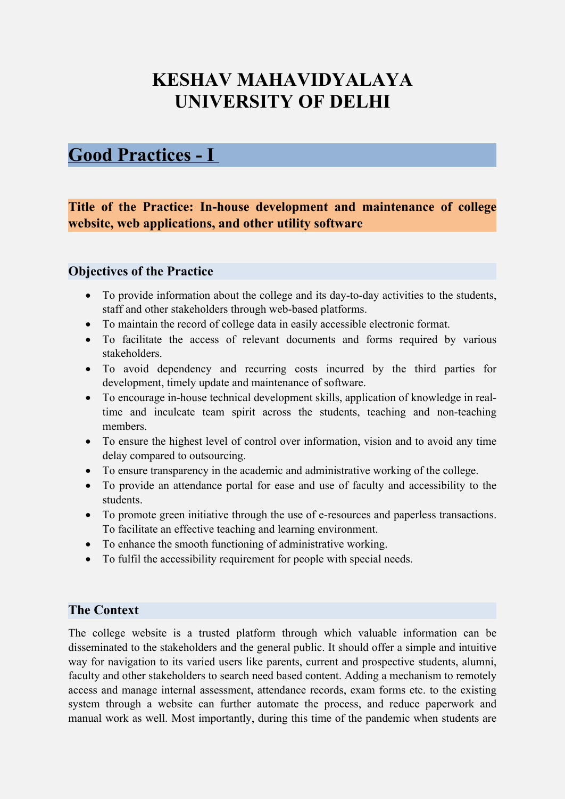# **KESHAV MAHAVIDYALAYA UNIVERSITY OF DELHI**

## **Good Practices - I**

**Title of the Practice: In-house development and maintenance of college website, web applications, and other utility software** 

## **Objectives of the Practice**

- To provide information about the college and its day-to-day activities to the students, staff and other stakeholders through web-based platforms.
- To maintain the record of college data in easily accessible electronic format.
- To facilitate the access of relevant documents and forms required by various stakeholders.
- To avoid dependency and recurring costs incurred by the third parties for development, timely update and maintenance of software.
- To encourage in-house technical development skills, application of knowledge in realtime and inculcate team spirit across the students, teaching and non-teaching members.
- To ensure the highest level of control over information, vision and to avoid any time delay compared to outsourcing.
- To ensure transparency in the academic and administrative working of the college.
- To provide an attendance portal for ease and use of faculty and accessibility to the students.
- To promote green initiative through the use of e-resources and paperless transactions. To facilitate an effective teaching and learning environment.
- To enhance the smooth functioning of administrative working.
- To fulfil the accessibility requirement for people with special needs.

## **The Context**

The college website is a trusted platform through which valuable information can be disseminated to the stakeholders and the general public. It should offer a simple and intuitive way for navigation to its varied users like parents, current and prospective students, alumni, faculty and other stakeholders to search need based content. Adding a mechanism to remotely access and manage internal assessment, attendance records, exam forms etc. to the existing system through a website can further automate the process, and reduce paperwork and manual work as well. Most importantly, during this time of the pandemic when students are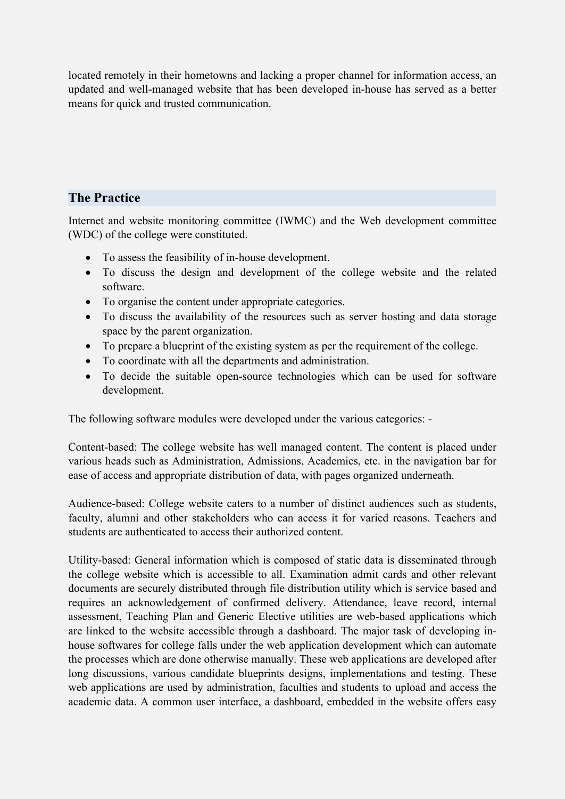located remotely in their hometowns and lacking a proper channel for information access, an updated and well-managed website that has been developed in-house has served as a better means for quick and trusted communication.

### **The Practice**

Internet and website monitoring committee (IWMC) and the Web development committee (WDC) of the college were constituted.

- To assess the feasibility of in-house development.
- To discuss the design and development of the college website and the related software.
- To organise the content under appropriate categories.
- To discuss the availability of the resources such as server hosting and data storage space by the parent organization.
- To prepare a blueprint of the existing system as per the requirement of the college.
- To coordinate with all the departments and administration.
- To decide the suitable open-source technologies which can be used for software development.

The following software modules were developed under the various categories: -

Content-based: The college website has well managed content. The content is placed under various heads such as Administration, Admissions, Academics, etc. in the navigation bar for ease of access and appropriate distribution of data, with pages organized underneath.

Audience-based: College website caters to a number of distinct audiences such as students, faculty, alumni and other stakeholders who can access it for varied reasons. Teachers and students are authenticated to access their authorized content.

Utility-based: General information which is composed of static data is disseminated through the college website which is accessible to all. Examination admit cards and other relevant documents are securely distributed through file distribution utility which is service based and requires an acknowledgement of confirmed delivery. Attendance, leave record, internal assessment, Teaching Plan and Generic Elective utilities are web-based applications which are linked to the website accessible through a dashboard. The major task of developing inhouse softwares for college falls under the web application development which can automate the processes which are done otherwise manually. These web applications are developed after long discussions, various candidate blueprints designs, implementations and testing. These web applications are used by administration, faculties and students to upload and access the academic data. A common user interface, a dashboard, embedded in the website offers easy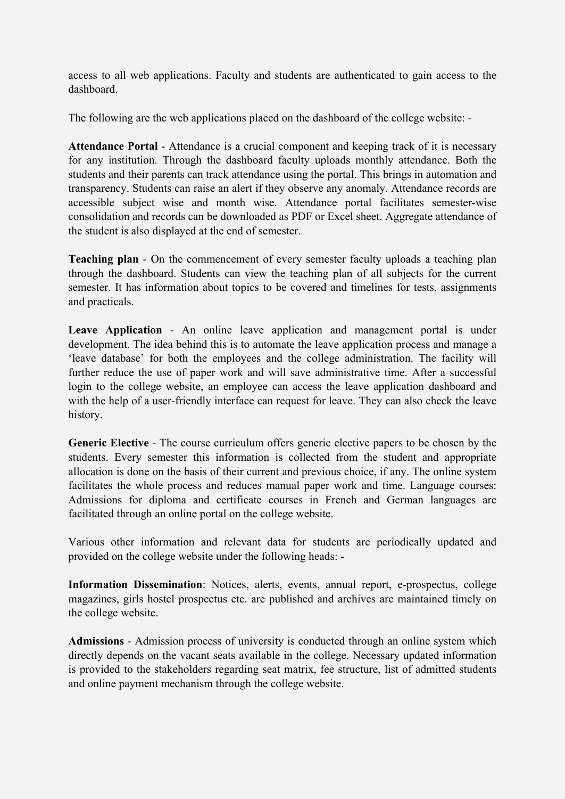access to all web applications. Faculty and students are authenticated to gain access to the dashboard.

The following are the web applications placed on the dashboard of the college website: -

**Attendance Portal** - Attendance is a crucial component and keeping track of it is necessary for any institution. Through the dashboard faculty uploads monthly attendance. Both the students and their parents can track attendance using the portal. This brings in automation and transparency. Students can raise an alert if they observe any anomaly. Attendance records are accessible subject wise and month wise. Attendance portal facilitates semester-wise consolidation and records can be downloaded as PDF or Excel sheet. Aggregate attendance of the student is also displayed at the end of semester.

**Teaching plan** - On the commencement of every semester faculty uploads a teaching plan through the dashboard. Students can view the teaching plan of all subjects for the current semester. It has information about topics to be covered and timelines for tests, assignments and practicals.

**Leave Application** - An online leave application and management portal is under development. The idea behind this is to automate the leave application process and manage a 'leave database' for both the employees and the college administration. The facility will further reduce the use of paper work and will save administrative time. After a successful login to the college website, an employee can access the leave application dashboard and with the help of a user-friendly interface can request for leave. They can also check the leave history.

**Generic Elective** - The course curriculum offers generic elective papers to be chosen by the students. Every semester this information is collected from the student and appropriate allocation is done on the basis of their current and previous choice, if any. The online system facilitates the whole process and reduces manual paper work and time. Language courses: Admissions for diploma and certificate courses in French and German languages are facilitated through an online portal on the college website.

Various other information and relevant data for students are periodically updated and provided on the college website under the following heads: -

**Information Dissemination**: Notices, alerts, events, annual report, e-prospectus, college magazines, girls hostel prospectus etc. are published and archives are maintained timely on the college website.

**Admissions** - Admission process of university is conducted through an online system which directly depends on the vacant seats available in the college. Necessary updated information is provided to the stakeholders regarding seat matrix, fee structure, list of admitted students and online payment mechanism through the college website.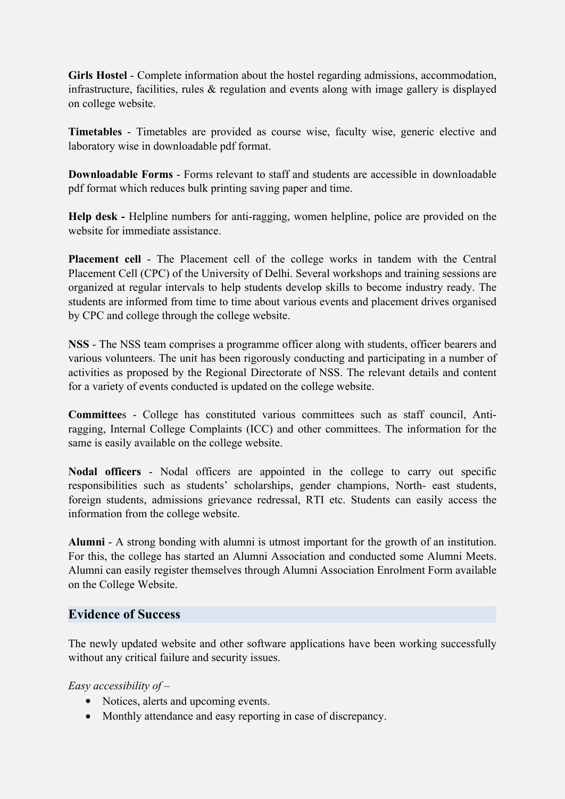**Girls Hostel** - Complete information about the hostel regarding admissions, accommodation, infrastructure, facilities, rules  $\&$  regulation and events along with image gallery is displayed on college website.

**Timetables** - Timetables are provided as course wise, faculty wise, generic elective and laboratory wise in downloadable pdf format.

**Downloadable Forms** - Forms relevant to staff and students are accessible in downloadable pdf format which reduces bulk printing saving paper and time.

**Help desk -** Helpline numbers for anti-ragging, women helpline, police are provided on the website for immediate assistance.

**Placement cell** - The Placement cell of the college works in tandem with the Central Placement Cell (CPC) of the University of Delhi. Several workshops and training sessions are organized at regular intervals to help students develop skills to become industry ready. The students are informed from time to time about various events and placement drives organised by CPC and college through the college website.

**NSS** - The NSS team comprises a programme officer along with students, officer bearers and various volunteers. The unit has been rigorously conducting and participating in a number of activities as proposed by the Regional Directorate of NSS. The relevant details and content for a variety of events conducted is updated on the college website.

**Committee**s - College has constituted various committees such as staff council, Antiragging, Internal College Complaints (ICC) and other committees. The information for the same is easily available on the college website.

**Nodal officers** - Nodal officers are appointed in the college to carry out specific responsibilities such as students' scholarships, gender champions, North- east students, foreign students, admissions grievance redressal, RTI etc. Students can easily access the information from the college website.

**Alumni** - A strong bonding with alumni is utmost important for the growth of an institution. For this, the college has started an Alumni Association and conducted some Alumni Meets. Alumni can easily register themselves through Alumni Association Enrolment Form available on the College Website.

### **Evidence of Success**

The newly updated website and other software applications have been working successfully without any critical failure and security issues.

*Easy accessibility of –* 

- Notices, alerts and upcoming events.
- Monthly attendance and easy reporting in case of discrepancy.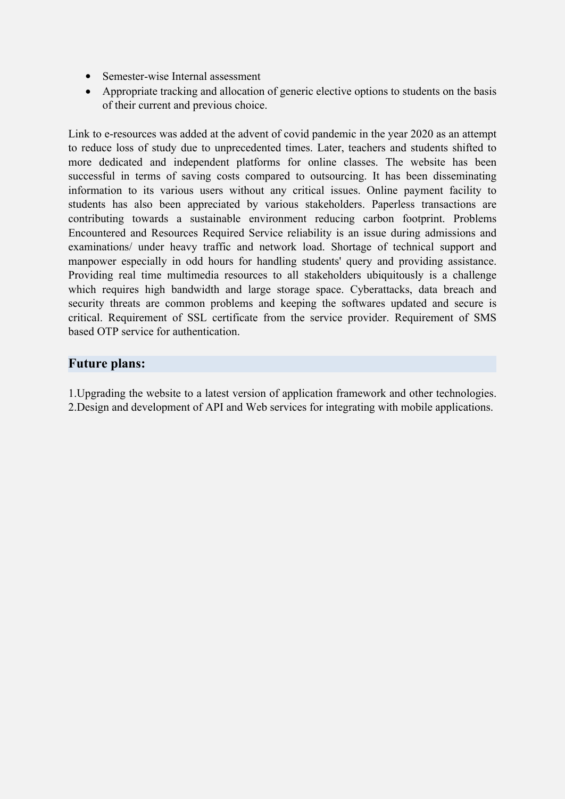- Semester-wise Internal assessment
- Appropriate tracking and allocation of generic elective options to students on the basis of their current and previous choice.

Link to e-resources was added at the advent of covid pandemic in the year 2020 as an attempt to reduce loss of study due to unprecedented times. Later, teachers and students shifted to more dedicated and independent platforms for online classes. The website has been successful in terms of saving costs compared to outsourcing. It has been disseminating information to its various users without any critical issues. Online payment facility to students has also been appreciated by various stakeholders. Paperless transactions are contributing towards a sustainable environment reducing carbon footprint. Problems Encountered and Resources Required Service reliability is an issue during admissions and examinations/ under heavy traffic and network load. Shortage of technical support and manpower especially in odd hours for handling students' query and providing assistance. Providing real time multimedia resources to all stakeholders ubiquitously is a challenge which requires high bandwidth and large storage space. Cyberattacks, data breach and security threats are common problems and keeping the softwares updated and secure is critical. Requirement of SSL certificate from the service provider. Requirement of SMS based OTP service for authentication.

### **Future plans:**

1.Upgrading the website to a latest version of application framework and other technologies. 2.Design and development of API and Web services for integrating with mobile applications.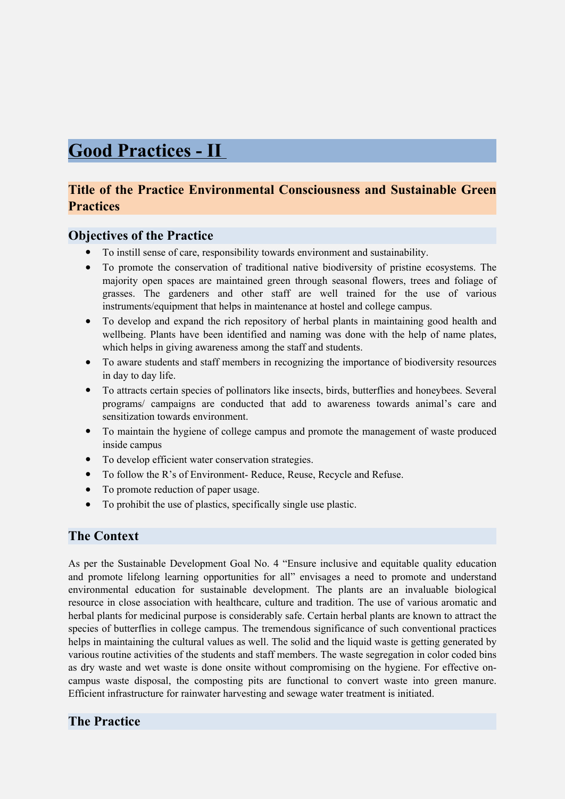## **Good Practices - II**

## **Title of the Practice Environmental Consciousness and Sustainable Green Practices**

### **Objectives of the Practice**

- To instill sense of care, responsibility towards environment and sustainability.
- To promote the conservation of traditional native biodiversity of pristine ecosystems. The majority open spaces are maintained green through seasonal flowers, trees and foliage of grasses. The gardeners and other staff are well trained for the use of various instruments/equipment that helps in maintenance at hostel and college campus.
- To develop and expand the rich repository of herbal plants in maintaining good health and wellbeing. Plants have been identified and naming was done with the help of name plates, which helps in giving awareness among the staff and students.
- To aware students and staff members in recognizing the importance of biodiversity resources in day to day life.
- To attracts certain species of pollinators like insects, birds, butterflies and honeybees. Several programs/ campaigns are conducted that add to awareness towards animal's care and sensitization towards environment.
- To maintain the hygiene of college campus and promote the management of waste produced inside campus
- To develop efficient water conservation strategies.
- To follow the R's of Environment- Reduce, Reuse, Recycle and Refuse.
- To promote reduction of paper usage.
- To prohibit the use of plastics, specifically single use plastic.

#### **The Context**

As per the Sustainable Development Goal No. 4 "Ensure inclusive and equitable quality education and promote lifelong learning opportunities for all" envisages a need to promote and understand environmental education for sustainable development. The plants are an invaluable biological resource in close association with healthcare, culture and tradition. The use of various aromatic and herbal plants for medicinal purpose is considerably safe. Certain herbal plants are known to attract the species of butterflies in college campus. The tremendous significance of such conventional practices helps in maintaining the cultural values as well. The solid and the liquid waste is getting generated by various routine activities of the students and staff members. The waste segregation in color coded bins as dry waste and wet waste is done onsite without compromising on the hygiene. For effective oncampus waste disposal, the composting pits are functional to convert waste into green manure. Efficient infrastructure for rainwater harvesting and sewage water treatment is initiated.

### **The Practice**